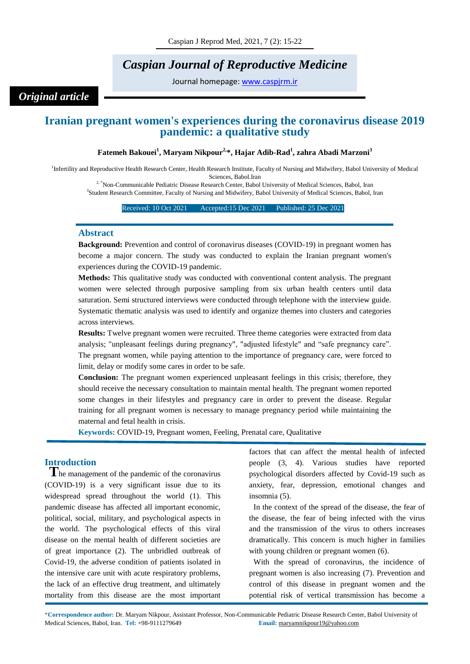# *Caspian Journal of Reproductive Medicine*

Journal homepage: [www.caspjrm.ir](http://www.caspjrm.ir/)

*Original article*

# **Iranian pregnant women's experiences during the coronavirus disease 2019 pandemic: a qualitative study**

# **Fatemeh Bakouei<sup>1</sup> , Maryam Nikpour2, \*, Hajar Adib-Rad<sup>1</sup> , zahra Abadi Marzoni<sup>3</sup>**

<sup>1</sup>Infertility and Reproductive Health Research Center, Health Research Institute, Faculty of Nursing and Midwifery, Babol University of Medical Sciences, Babol.Iran

<sup>2, \*</sup>Non-Communicable Pediatric Disease Research Center, Babol University of Medical Sciences, Babol, Iran 3 Student Research Committee, Faculty of Nursing and Midwifery, Babol University of Medical Sciences, Babol, Iran

#### Received: 10 Oct 2021 Accepted: 15 Dec 2021 Published: 25 Dec 2021

### **Abstract**

**Background:** Prevention and control of coronavirus diseases (COVID-19) in pregnant women has become a major concern. The study was conducted to explain the Iranian pregnant women's experiences during the COVID-19 pandemic.

**Methods:** This qualitative study was conducted with conventional content analysis. The pregnant women were selected through purposive sampling from six urban health centers until data saturation. Semi structured interviews were conducted through telephone with the interview guide. Systematic thematic analysis was used to identify and organize themes into clusters and categories across interviews.

**Results:** Twelve pregnant women were recruited. Three theme categories were extracted from data analysis; "unpleasant feelings during pregnancy", "adjusted lifestyle" and "safe pregnancy care". The pregnant women, while paying attention to the importance of pregnancy care, were forced to limit, delay or modify some cares in order to be safe.

**Conclusion:** The pregnant women experienced unpleasant feelings in this crisis; therefore, they should receive the necessary consultation to maintain mental health. The pregnant women reported some changes in their lifestyles and pregnancy care in order to prevent the disease. Regular training for all pregnant women is necessary to manage pregnancy period while maintaining the maternal and fetal health in crisis.

**Keywords:** COVID-19, Pregnant women, Feeling, Prenatal care, Qualitative

# **Introduction**

**T**he management of the pandemic of the coronavirus (COVID-19) is a very significant issue due to its widespread spread throughout the world (1). This pandemic disease has affected all important economic, political, social, military, and psychological aspects in the world. The psychological effects of this viral disease on the mental health of different societies are of great importance (2). The unbridled outbreak of Covid-19, the adverse condition of patients isolated in the intensive care unit with acute respiratory problems, the lack of an effective drug treatment, and ultimately mortality from this disease are the most important

factors that can affect the mental health of infected people (3, 4). Various studies have reported psychological disorders affected by Covid-19 such as anxiety, fear, depression, emotional changes and insomnia (5).

In the context of the spread of the disease, the fear of the disease, the fear of being infected with the virus and the transmission of the virus to others increases dramatically. This concern is much higher in families with young children or pregnant women  $(6)$ .

With the spread of coronavirus, the incidence of pregnant women is also increasing (7). Prevention and control of this disease in pregnant women and the potential risk of vertical transmission has become a

\***Correspondence author:** Dr. Maryam Nikpour, Assistant Professor, Non-Communicable Pediatric Disease Research Center, Babol University of Medical Sciences, Babol, Iran. **Tel:** +98-9111279649 **Email:** maryamnikpour19@yahoo.com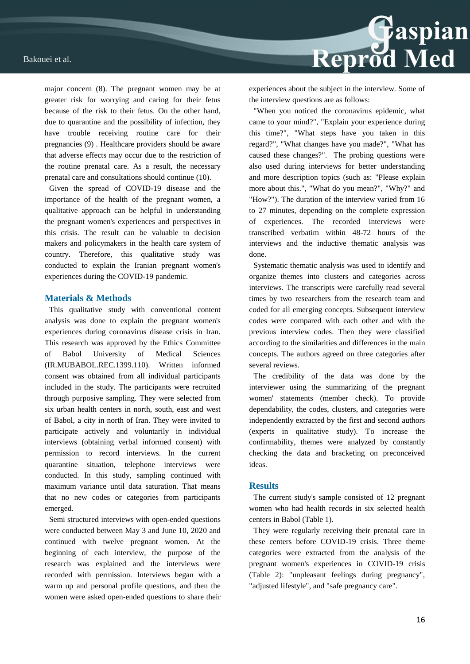major concern (8). The pregnant women may be at greater risk for worrying and caring for their fetus because of the risk to their fetus. On the other hand, due to quarantine and the possibility of infection, they have trouble receiving routine care for their pregnancies (9) . Healthcare providers should be aware that adverse effects may occur due to the restriction of the routine prenatal care. As a result, the necessary prenatal care and consultations should continue (10).

Given the spread of COVID-19 disease and the importance of the health of the pregnant women, a qualitative approach can be helpful in understanding the pregnant women's experiences and perspectives in this crisis. The result can be valuable to decision makers and policymakers in the health care system of country. Therefore, this qualitative study was conducted to explain the Iranian pregnant women's experiences during the COVID-19 pandemic.

## **Materials & Methods**

This qualitative study with conventional content analysis was done to explain the pregnant women's experiences during coronavirus disease crisis in Iran. This research was approved by the Ethics Committee of Babol University of Medical Sciences (IR.MUBABOL.REC.1399.110). Written informed consent was obtained from all individual participants included in the study. The participants were recruited through purposive sampling. They were selected from six urban health centers in north, south, east and west of Babol, a city in north of Iran. They were invited to participate actively and voluntarily in individual interviews (obtaining verbal informed consent) with permission to record interviews. In the current quarantine situation, telephone interviews were conducted. In this study, sampling continued with maximum variance until data saturation. That means that no new codes or categories from participants emerged.

Semi structured interviews with open-ended questions were conducted between May 3 and June 10, 2020 and continued with twelve pregnant women. At the beginning of each interview, the purpose of the research was explained and the interviews were recorded with permission. Interviews began with a warm up and personal profile questions, and then the women were asked open-ended questions to share their



experiences about the subject in the interview. Some of the interview questions are as follows:

"When you noticed the coronavirus epidemic, what came to your mind?", "Explain your experience during this time?", "What steps have you taken in this regard?", "What changes have you made?", "What has caused these changes?". The probing questions were also used during interviews for better understanding and more description topics (such as: "Please explain more about this.", "What do you mean?", "Why?" and "How?"). The duration of the interview varied from 16 to 27 minutes, depending on the complete expression of experiences. The recorded interviews were transcribed verbatim within 48-72 hours of the interviews and the inductive thematic analysis was done.

Systematic thematic analysis was used to identify and organize themes into clusters and categories across interviews. The transcripts were carefully read several times by two researchers from the research team and coded for all emerging concepts. Subsequent interview codes were compared with each other and with the previous interview codes. Then they were classified according to the similarities and differences in the main concepts. The authors agreed on three categories after several reviews.

The credibility of the data was done by the interviewer using the summarizing of the pregnant women' statements (member check). To provide dependability, the codes, clusters, and categories were independently extracted by the first and second authors (experts in qualitative study). To increase the confirmability, themes were analyzed by constantly checking the data and bracketing on preconceived ideas.

### **Results**

The current study's sample consisted of 12 pregnant women who had health records in six selected health centers in Babol (Table 1).

They were regularly receiving their prenatal care in these centers before COVID-19 crisis. Three theme categories were extracted from the analysis of the pregnant women's experiences in COVID-19 crisis (Table 2): "unpleasant feelings during pregnancy", "adjusted lifestyle", and "safe pregnancy care".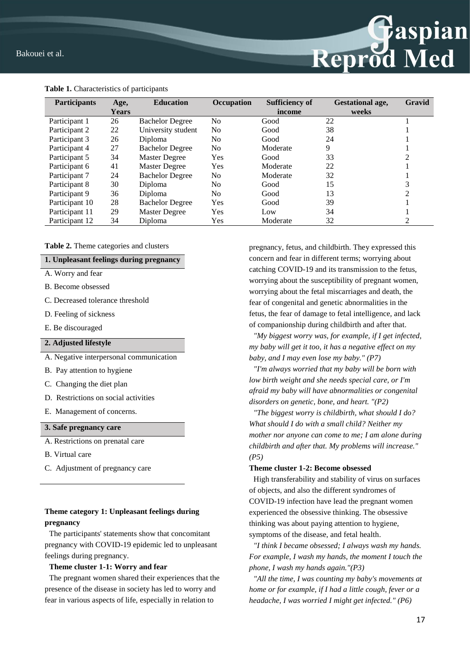

**Table 1.** Characteristics of participants

### **Table 2.** Theme categories and clusters

### **1. Unpleasant feelings during pregnancy**

- A. Worry and fear
- B. Become obsessed
- C. Decreased tolerance threshold
- D. Feeling of sickness
- E. Be discouraged

# **2. Adjusted lifestyle**

- A. Negative interpersonal communication
- B. Pay attention to hygiene
- C. Changing the diet plan
- D. Restrictions on social activities
- E. Management of concerns.

# **3. Safe pregnancy care**

- A. Restrictions on prenatal care
- B. Virtual care
- C. Adjustment of pregnancy care

# **Theme category 1: Unpleasant feelings during pregnancy**

The participants' statements show that concomitant pregnancy with COVID-19 epidemic led to unpleasant feelings during pregnancy.

## **Theme cluster 1-1: Worry and fear**

The pregnant women shared their experiences that the presence of the disease in society has led to worry and fear in various aspects of life, especially in relation to

pregnancy, fetus, and childbirth. They expressed this concern and fear in different terms; worrying about catching COVID-19 and its transmission to the fetus, worrying about the susceptibility of pregnant women, worrying about the fetal miscarriages and death, the fear of congenital and genetic abnormalities in the fetus, the fear of damage to fetal intelligence, and lack of companionship during childbirth and after that.

Reprod Med

*"My biggest worry was, for example, if I get infected, my baby will get it too, it has a negative effect on my baby, and I may even lose my baby." (P7)*

*"I'm always worried that my baby will be born with low birth weight and she needs special care, or I'm afraid my baby will have abnormalities or congenital disorders on genetic, bone, and heart. "(P2)*

*"The biggest worry is childbirth, what should I do? What should I do with a small child? Neither my mother nor anyone can come to me; I am alone during childbirth and after that. My problems will increase." (P5)*

### **Theme cluster 1-2: Become obsessed**

High transferability and stability of virus on surfaces of objects, and also the different syndromes of COVID-19 infection have lead the pregnant women experienced the obsessive thinking. The obsessive thinking was about paying attention to hygiene, symptoms of the disease, and fetal health.

*"I think I became obsessed; I always wash my hands. For example, I wash my hands, the moment I touch the phone, I wash my hands again."(P3)*

*"All the time, I was counting my baby's movements at home or for example, if I had a little cough, fever or a headache, I was worried I might get infected." (P6)*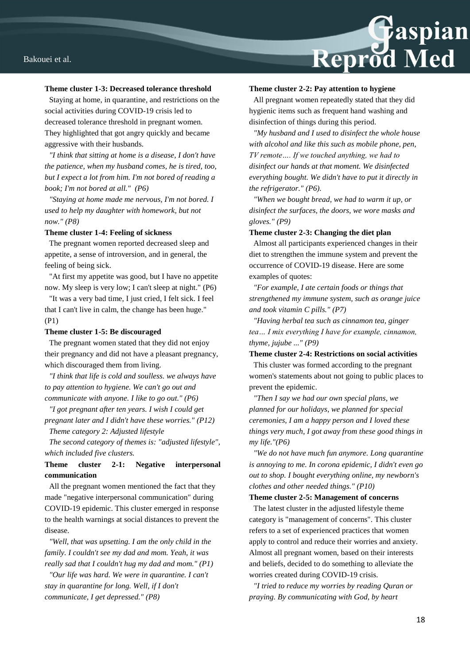

#### **Theme cluster 1-3: Decreased tolerance threshold**

Staying at home, in quarantine, and restrictions on the social activities during COVID-19 crisis led to decreased tolerance threshold in pregnant women. They highlighted that got angry quickly and became aggressive with their husbands.

*"I think that sitting at home is a disease, I don't have the patience, when my husband comes, he is tired, too, but I expect a lot from him. I'm not bored of reading a book; I'm not bored at all." (P6)*

*"Staying at home made me nervous, I'm not bored. I used to help my daughter with homework, but not now." (P8)*

#### **Theme cluster 1-4: Feeling of sickness**

The pregnant women reported decreased sleep and appetite, a sense of introversion, and in general, the feeling of being sick.

"At first my appetite was good, but I have no appetite now. My sleep is very low; I can't sleep at night." (P6)

"It was a very bad time, I just cried, I felt sick. I feel that I can't live in calm, the change has been huge." (P1)

### **Theme cluster 1-5: Be discouraged**

The pregnant women stated that they did not enjoy their pregnancy and did not have a pleasant pregnancy, which discouraged them from living.

*"I think that life is cold and soulless. we always have to pay attention to hygiene. We can't go out and communicate with anyone. I like to go out." (P6)*

*"I got pregnant after ten years. I wish I could get pregnant later and I didn't have these worries." (P12)*

*Theme category 2: Adjusted lifestyle*

*The second category of themes is: "adjusted lifestyle", which included five clusters.* 

# **Theme cluster 2-1: Negative interpersonal communication**

All the pregnant women mentioned the fact that they made "negative interpersonal communication" during COVID-19 epidemic. This cluster emerged in response to the health warnings at social distances to prevent the disease.

*"Well, that was upsetting. I am the only child in the family. I couldn't see my dad and mom. Yeah, it was really sad that I couldn't hug my dad and mom." (P1)*

*"Our life was hard. We were in quarantine. I can't stay in quarantine for long. Well, if I don't communicate, I get depressed." (P8)*

### **Theme cluster 2-2: Pay attention to hygiene**

All pregnant women repeatedly stated that they did hygienic items such as frequent hand washing and disinfection of things during this period.

*"My husband and I used to disinfect the whole house with alcohol and like this such as mobile phone, pen, TV remote…. If we touched anything, we had to disinfect our hands at that moment. We disinfected everything bought. We didn't have to put it directly in the refrigerator." (P6).*

*"When we bought bread, we had to warm it up, or disinfect the surfaces, the doors, we wore masks and gloves." (P9)*

#### **Theme cluster 2-3: Changing the diet plan**

Almost all participants experienced changes in their diet to strengthen the immune system and prevent the occurrence of COVID-19 disease. Here are some examples of quotes:

*"For example, I ate certain foods or things that strengthened my immune system, such as orange juice and took vitamin C pills." (P7)*

*"Having herbal tea such as cinnamon tea, ginger tea… I mix everything I have for example, cinnamon, thyme, jujube ..." (P9)*

**Theme cluster 2-4: Restrictions on social activities**

This cluster was formed according to the pregnant women's statements about not going to public places to prevent the epidemic.

*"Then I say we had our own special plans, we planned for our holidays, we planned for special ceremonies, I am a happy person and I loved these things very much, I got away from these good things in my life."(P6)*

*"We do not have much fun anymore. Long quarantine is annoying to me. In corona epidemic, I didn't even go out to shop. I bought everything online, my newborn's clothes and other needed things." (P10)*

### **Theme cluster 2-5: Management of concerns**

The latest cluster in the adjusted lifestyle theme category is "management of concerns". This cluster refers to a set of experienced practices that women apply to control and reduce their worries and anxiety. Almost all pregnant women, based on their interests and beliefs, decided to do something to alleviate the worries created during COVID-19 crisis.

*"I tried to reduce my worries by reading Quran or praying. By communicating with God, by heart*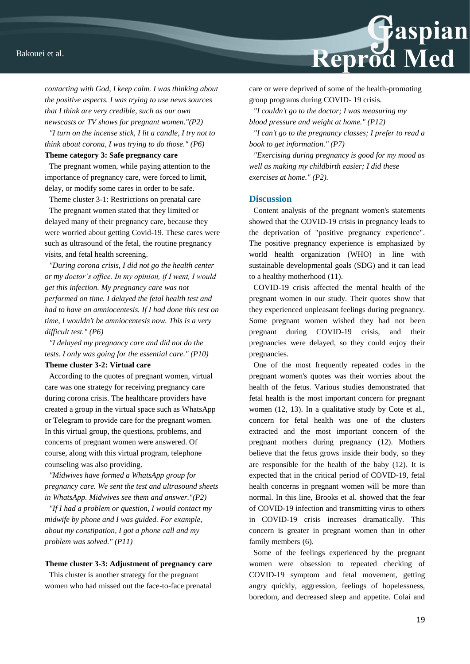

*contacting with God, I keep calm. I was thinking about the positive aspects. I was trying to use news sources that I think are very credible, such as our own newscasts or TV shows for pregnant women."(P2)*

*"I turn on the incense stick, I lit a candle, I try not to think about corona, I was trying to do those." (P6)*

### **Theme category 3: Safe pregnancy care**

The pregnant women, while paying attention to the importance of pregnancy care, were forced to limit, delay, or modify some cares in order to be safe.

Theme cluster 3-1: Restrictions on prenatal care

The pregnant women stated that they limited or delayed many of their pregnancy care, because they were worried about getting Covid-19. These cares were such as ultrasound of the fetal, the routine pregnancy visits, and fetal health screening.

*"During corona crisis, I did not go the health center or my doctor's office. In my opinion, if I went, I would get this infection. My pregnancy care was not performed on time. I delayed the fetal health test and had to have an amniocentesis. If I had done this test on time, I wouldn't be amniocentesis now. This is a very difficult test." (P6)* 

*"I delayed my pregnancy care and did not do the tests. I only was going for the essential care." (P10)*

# **Theme cluster 3-2: Virtual care**

According to the quotes of pregnant women, virtual care was one strategy for receiving pregnancy care during corona crisis. The healthcare providers have created a group in the virtual space such as WhatsApp or Telegram to provide care for the pregnant women. In this virtual group, the questions, problems, and concerns of pregnant women were answered. Of course, along with this virtual program, telephone counseling was also providing.

*"Midwives have formed a WhatsApp group for pregnancy care. We sent the test and ultrasound sheets in WhatsApp. Midwives see them and answer."(P2)*

*"If I had a problem or question, I would contact my midwife by phone and I was guided. For example, about my constipation, I got a phone call and my problem was solved." (P11)*

#### **Theme cluster 3-3: Adjustment of pregnancy care**

This cluster is another strategy for the pregnant women who had missed out the face-to-face prenatal care or were deprived of some of the health-promoting group programs during COVID- 19 crisis.

*"I couldn't go to the doctor; I was measuring my blood pressure and weight at home." (P12)*

*"I can't go to the pregnancy classes; I prefer to read a book to get information." (P7)*

*"Exercising during pregnancy is good for my mood as well as making my childbirth easier; I did these exercises at home." (P2).*

### **Discussion**

Content analysis of the pregnant women's statements showed that the COVID-19 crisis in pregnancy leads to the deprivation of "positive pregnancy experience". The positive pregnancy experience is emphasized by world health organization (WHO) in line with sustainable developmental goals (SDG) and it can lead to a healthy motherhood (11).

COVID-19 crisis affected the mental health of the pregnant women in our study. Their quotes show that they experienced unpleasant feelings during pregnancy. Some pregnant women wished they had not been pregnant during COVID-19 crisis, and their pregnancies were delayed, so they could enjoy their pregnancies.

One of the most frequently repeated codes in the pregnant women's quotes was their worries about the health of the fetus. Various studies demonstrated that fetal health is the most important concern for pregnant women (12, 13). In a qualitative study by Cote et al., concern for fetal health was one of the clusters extracted and the most important concern of the pregnant mothers during pregnancy (12). Mothers believe that the fetus grows inside their body, so they are responsible for the health of the baby (12). It is expected that in the critical period of COVID-19, fetal health concerns in pregnant women will be more than normal. In this line, Brooks et al. showed that the fear of COVID-19 infection and transmitting virus to others in COVID-19 crisis increases dramatically. This concern is greater in pregnant women than in other family members (6).

Some of the feelings experienced by the pregnant women were obsession to repeated checking of COVID-19 symptom and fetal movement, getting angry quickly, aggression, feelings of hopelessness, boredom, and decreased sleep and appetite. Colai and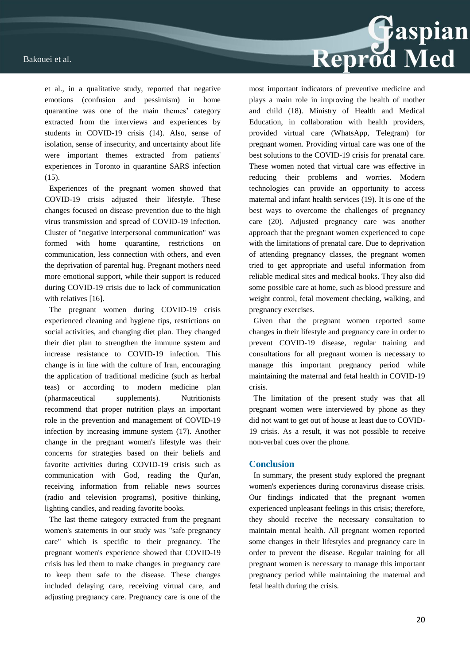et al., in a qualitative study, reported that negative emotions (confusion and pessimism) in home quarantine was one of the main themes' category extracted from the interviews and experiences by students in COVID-19 crisis (14). Also, sense of isolation, sense of insecurity, and uncertainty about life were important themes extracted from patients' experiences in Toronto in quarantine SARS infection (15).

Experiences of the pregnant women showed that COVID-19 crisis adjusted their lifestyle. These changes focused on disease prevention due to the high virus transmission and spread of COVID-19 infection. Cluster of "negative interpersonal communication" was formed with home quarantine, restrictions on communication, less connection with others, and even the deprivation of parental hug. Pregnant mothers need more emotional support, while their support is reduced during COVID-19 crisis due to lack of communication with relatives [16].

The pregnant women during COVID-19 crisis experienced cleaning and hygiene tips, restrictions on social activities, and changing diet plan. They changed their diet plan to strengthen the immune system and increase resistance to COVID-19 infection. This change is in line with the culture of Iran, encouraging the application of traditional medicine (such as herbal teas) or according to modern medicine plan (pharmaceutical supplements). Nutritionists recommend that proper nutrition plays an important role in the prevention and management of COVID-19 infection by increasing immune system (17). Another change in the pregnant women's lifestyle was their concerns for strategies based on their beliefs and favorite activities during COVID-19 crisis such as communication with God, reading the Qur'an, receiving information from reliable news sources (radio and television programs), positive thinking, lighting candles, and reading favorite books.

The last theme category extracted from the pregnant women's statements in our study was "safe pregnancy care" which is specific to their pregnancy. The pregnant women's experience showed that COVID-19 crisis has led them to make changes in pregnancy care to keep them safe to the disease. These changes included delaying care, receiving virtual care, and adjusting pregnancy care. Pregnancy care is one of the



most important indicators of preventive medicine and plays a main role in improving the health of mother and child (18). Ministry of Health and Medical Education, in collaboration with health providers, provided virtual care (WhatsApp, Telegram) for pregnant women. Providing virtual care was one of the best solutions to the COVID-19 crisis for prenatal care. These women noted that virtual care was effective in reducing their problems and worries. Modern technologies can provide an opportunity to access maternal and infant health services (19). It is one of the best ways to overcome the challenges of pregnancy care (20). Adjusted pregnancy care was another approach that the pregnant women experienced to cope with the limitations of prenatal care. Due to deprivation of attending pregnancy classes, the pregnant women tried to get appropriate and useful information from reliable medical sites and medical books. They also did some possible care at home, such as blood pressure and weight control, fetal movement checking, walking, and pregnancy exercises.

Given that the pregnant women reported some changes in their lifestyle and pregnancy care in order to prevent COVID-19 disease, regular training and consultations for all pregnant women is necessary to manage this important pregnancy period while maintaining the maternal and fetal health in COVID-19 crisis.

The limitation of the present study was that all pregnant women were interviewed by phone as they did not want to get out of house at least due to COVID-19 crisis. As a result, it was not possible to receive non-verbal cues over the phone.

### **Conclusion**

In summary, the present study explored the pregnant women's experiences during coronavirus disease crisis. Our findings indicated that the pregnant women experienced unpleasant feelings in this crisis; therefore, they should receive the necessary consultation to maintain mental health. All pregnant women reported some changes in their lifestyles and pregnancy care in order to prevent the disease. Regular training for all pregnant women is necessary to manage this important pregnancy period while maintaining the maternal and fetal health during the crisis.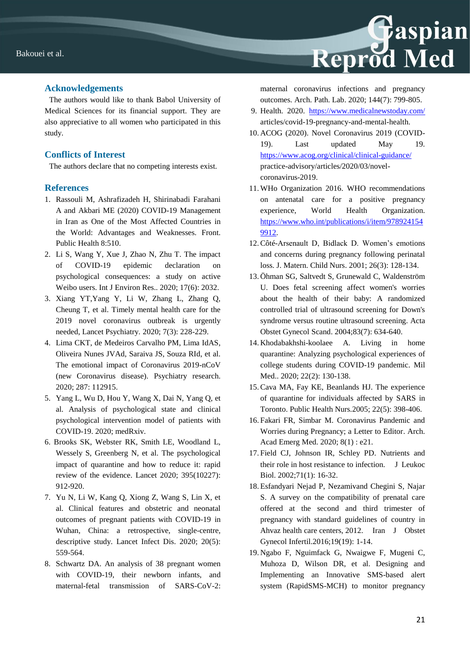

## **Acknowledgements**

The authors would like to thank Babol University of Medical Sciences for its financial support. They are also appreciative to all women who participated in this study.

# **Conflicts of Interest**

The authors declare that no competing interests exist.

# **References**

- 1. Rassouli M, Ashrafizadeh H, Shirinabadi Farahani A and Akbari ME (2020) COVID-19 Management in Iran as One of the Most Affected Countries in the World: Advantages and Weaknesses. Front. Public Health 8:510.
- 2. Li S, Wang Y, Xue J, Zhao N, Zhu T. The impact of COVID-19 epidemic declaration on psychological consequences: a study on active Weibo users. Int J Environ Res.. 2020; 17(6): 2032.
- 3. Xiang YT,Yang Y, Li W, Zhang L, Zhang Q, Cheung T, et al. Timely mental health care for the 2019 novel coronavirus outbreak is urgently needed, Lancet Psychiatry. 2020; 7(3): 228-229.
- 4. Lima CKT, de Medeiros Carvalho PM, Lima IdAS, Oliveira Nunes JVAd, Saraiva JS, Souza RId, et al. The emotional impact of Coronavirus 2019-nCoV (new Coronavirus disease). Psychiatry research. 2020; 287: 112915.
- 5. Yang L, Wu D, Hou Y, Wang X, Dai N, Yang Q, et al. Analysis of psychological state and clinical psychological intervention model of patients with COVID-19. 2020; medRxiv.
- 6. Brooks SK, Webster RK, Smith LE, Woodland L, Wessely S, Greenberg N, et al. The psychological impact of quarantine and how to reduce it: rapid review of the evidence. Lancet 2020; 395(10227): 912-920.
- 7. Yu N, Li W, Kang Q, Xiong Z, Wang S, Lin X, et al. Clinical features and obstetric and neonatal outcomes of pregnant patients with COVID-19 in Wuhan, China: a retrospective, single-centre, descriptive study. Lancet Infect Dis. 2020; 20(5): 559-564.
- 8. Schwartz DA. An analysis of 38 pregnant women with COVID-19, their newborn infants, and maternal-fetal transmission of SARS-CoV-2:

maternal coronavirus infections and pregnancy outcomes. Arch. Path. Lab. 2020; 144(7): 799-805.

- 9. Health. 2020.<https://www.medicalnewstoday.com/> articles/covid-19-pregnancy-and-mental-health.
- 10. ACOG (2020). Novel Coronavirus 2019 (COVID-19). Last updated May 19. <https://www.acog.org/clinical/clinical-guidance/> practice-advisory/articles/2020/03/novelcoronavirus-2019.
- 11. WHo Organization 2016. WHO recommendations on antenatal care for a positive pregnancy experience, World Health Organization. [https://www.who.int/publications/i/item/978924154](https://www.who.int/publications/i/item/9789241549912) [9912.](https://www.who.int/publications/i/item/9789241549912)
- 12.Côté-Arsenault D, Bidlack D. Women's emotions and concerns during pregnancy following perinatal loss. J. Matern. Child Nurs. 2001; 26(3): 128-134.
- 13. Öhman SG, Saltvedt S, Grunewald C, Waldenström U. Does fetal screening affect women's worries about the health of their baby: A randomized controlled trial of ultrasound screening for Down's syndrome versus routine ultrasound screening. Acta Obstet Gynecol Scand. 2004;83(7): 634-640.
- 14. Khodabakhshi-koolaee A. Living in home quarantine: Analyzing psychological experiences of college students during COVID-19 pandemic. Mil Med.. 2020; 22(2): 130-138.
- 15.Cava MA, Fay KE, Beanlands HJ. The experience of quarantine for individuals affected by SARS in Toronto. Public Health Nurs.2005; 22(5): 398-406.
- 16. Fakari FR, Simbar M. Coronavirus Pandemic and Worries during Pregnancy; a Letter to Editor. Arch. Acad Emerg Med. 2020; 8(1) : e21.
- 17. Field CJ, Johnson IR, Schley PD. Nutrients and their role in host resistance to infection. J Leukoc Biol. 2002;71(1): 16-32.
- 18. Esfandyari Nejad P, Nezamivand Chegini S, Najar S. A survey on the compatibility of prenatal care offered at the second and third trimester of pregnancy with standard guidelines of country in Ahvaz health care centers, 2012. Iran J Obstet Gynecol Infertil.2016;19(19): 1-14.
- 19. Ngabo F, Nguimfack G, Nwaigwe F, Mugeni C, Muhoza D, Wilson DR, et al. Designing and Implementing an Innovative SMS-based alert system (RapidSMS-MCH) to monitor pregnancy